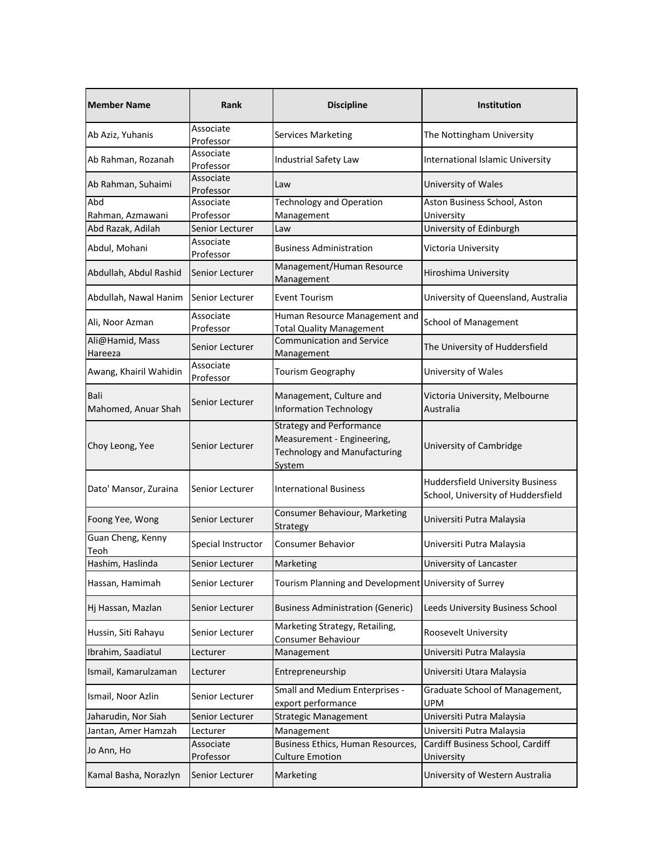| <b>Member Name</b>          | <b>Rank</b>            | <b>Discipline</b>                                                                                              | <b>Institution</b>                                                            |
|-----------------------------|------------------------|----------------------------------------------------------------------------------------------------------------|-------------------------------------------------------------------------------|
| Ab Aziz, Yuhanis            | Associate<br>Professor | <b>Services Marketing</b>                                                                                      | The Nottingham University                                                     |
| Ab Rahman, Rozanah          | Associate<br>Professor | Industrial Safety Law                                                                                          | International Islamic University                                              |
| Ab Rahman, Suhaimi          | Associate<br>Professor | Law                                                                                                            | University of Wales                                                           |
| Abd                         | Associate              | <b>Technology and Operation</b>                                                                                | Aston Business School, Aston                                                  |
| Rahman, Azmawani            | Professor              | Management                                                                                                     | University                                                                    |
| Abd Razak, Adilah           | Senior Lecturer        | Law                                                                                                            | University of Edinburgh                                                       |
| Abdul, Mohani               | Associate<br>Professor | <b>Business Administration</b>                                                                                 | Victoria University                                                           |
| Abdullah, Abdul Rashid      | Senior Lecturer        | Management/Human Resource<br>Management                                                                        | Hiroshima University                                                          |
| Abdullah, Nawal Hanim       | Senior Lecturer        | <b>Event Tourism</b>                                                                                           | University of Queensland, Australia                                           |
| Ali, Noor Azman             | Associate<br>Professor | Human Resource Management and<br><b>Total Quality Management</b>                                               | <b>School of Management</b>                                                   |
| Ali@Hamid, Mass<br>Hareeza  | Senior Lecturer        | <b>Communication and Service</b><br>Management                                                                 | The University of Huddersfield                                                |
| Awang, Khairil Wahidin      | Associate<br>Professor | Tourism Geography                                                                                              | University of Wales                                                           |
| Bali<br>Mahomed, Anuar Shah | Senior Lecturer        | Management, Culture and<br><b>Information Technology</b>                                                       | Victoria University, Melbourne<br>Australia                                   |
| Choy Leong, Yee             | Senior Lecturer        | <b>Strategy and Performance</b><br>Measurement - Engineering,<br><b>Technology and Manufacturing</b><br>System | University of Cambridge                                                       |
| Dato' Mansor, Zuraina       | Senior Lecturer        | <b>International Business</b>                                                                                  | <b>Huddersfield University Business</b><br>School, University of Huddersfield |
| Foong Yee, Wong             | Senior Lecturer        | Consumer Behaviour, Marketing<br>Strategy                                                                      | Universiti Putra Malaysia                                                     |
| Guan Cheng, Kenny<br>Teoh   | Special Instructor     | <b>Consumer Behavior</b>                                                                                       | Universiti Putra Malaysia                                                     |
| Hashim, Haslinda            | Senior Lecturer        | Marketing                                                                                                      | University of Lancaster                                                       |
| Hassan, Hamimah             | Senior Lecturer        | Tourism Planning and Development University of Surrey                                                          |                                                                               |
| Hj Hassan, Mazlan           | Senior Lecturer        | <b>Business Administration (Generic)</b>                                                                       | Leeds University Business School                                              |
| Hussin, Siti Rahayu         | Senior Lecturer        | Marketing Strategy, Retailing,<br>Consumer Behaviour                                                           | Roosevelt University                                                          |
| Ibrahim, Saadiatul          | Lecturer               | Management                                                                                                     | Universiti Putra Malaysia                                                     |
| Ismail, Kamarulzaman        | Lecturer               | Entrepreneurship                                                                                               | Universiti Utara Malaysia                                                     |
| Ismail, Noor Azlin          | Senior Lecturer        | Small and Medium Enterprises -<br>export performance                                                           | Graduate School of Management,<br>UPM                                         |
| Jaharudin, Nor Siah         | Senior Lecturer        | <b>Strategic Management</b>                                                                                    | Universiti Putra Malaysia                                                     |
| Jantan, Amer Hamzah         | Lecturer               | Management                                                                                                     | Universiti Putra Malaysia                                                     |
|                             | Associate              | Business Ethics, Human Resources,                                                                              | Cardiff Business School, Cardiff                                              |
| Jo Ann, Ho                  | Professor              | <b>Culture Emotion</b>                                                                                         | University                                                                    |
| Kamal Basha, Norazlyn       | Senior Lecturer        | Marketing                                                                                                      | University of Western Australia                                               |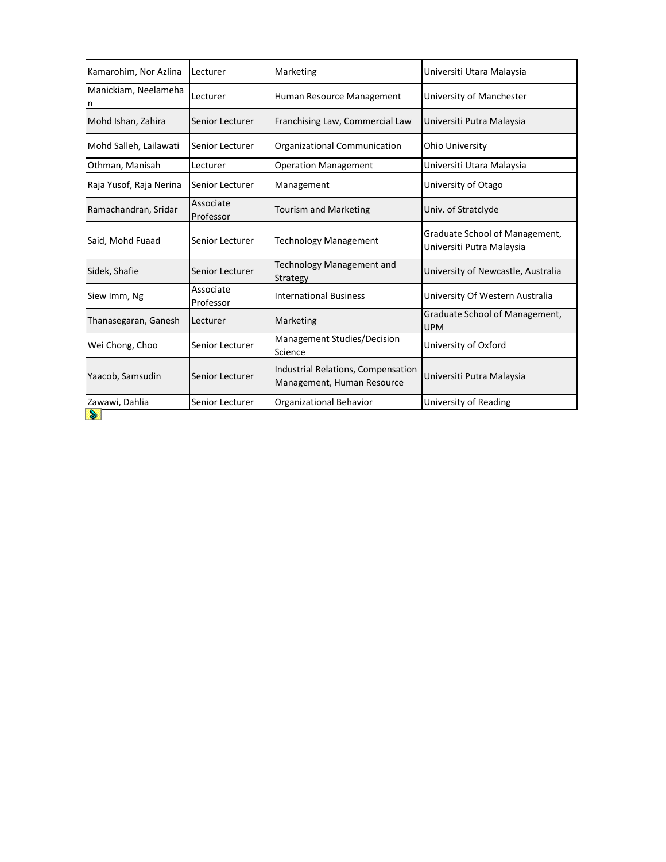| Kamarohim, Nor Azlina     | Lecturer               | Marketing                                                        | Universiti Utara Malaysia                                   |
|---------------------------|------------------------|------------------------------------------------------------------|-------------------------------------------------------------|
| Manickiam, Neelameha<br>n | Lecturer               | Human Resource Management                                        | University of Manchester                                    |
| Mohd Ishan, Zahira        | Senior Lecturer        | Franchising Law, Commercial Law                                  | Universiti Putra Malaysia                                   |
| Mohd Salleh, Lailawati    | Senior Lecturer        | Organizational Communication                                     | <b>Ohio University</b>                                      |
| Othman, Manisah           | Lecturer               | <b>Operation Management</b>                                      | Universiti Utara Malaysia                                   |
| Raja Yusof, Raja Nerina   | Senior Lecturer        | Management                                                       | University of Otago                                         |
| Ramachandran, Sridar      | Associate<br>Professor | <b>Tourism and Marketing</b>                                     | Univ. of Stratclyde                                         |
| Said, Mohd Fuaad          | Senior Lecturer        | <b>Technology Management</b>                                     | Graduate School of Management,<br>Universiti Putra Malaysia |
| Sidek, Shafie             | Senior Lecturer        | Technology Management and<br>Strategy                            | University of Newcastle, Australia                          |
| Siew Imm, Ng              | Associate<br>Professor | <b>International Business</b>                                    | University Of Western Australia                             |
| Thanasegaran, Ganesh      | Lecturer               | Marketing                                                        | Graduate School of Management,<br><b>UPM</b>                |
| Wei Chong, Choo           | Senior Lecturer        | Management Studies/Decision<br>Science                           | University of Oxford                                        |
| Yaacob, Samsudin          | Senior Lecturer        | Industrial Relations, Compensation<br>Management, Human Resource | Universiti Putra Malaysia                                   |
| Zawawi, Dahlia            | Senior Lecturer        | Organizational Behavior                                          | University of Reading                                       |
| S                         |                        |                                                                  |                                                             |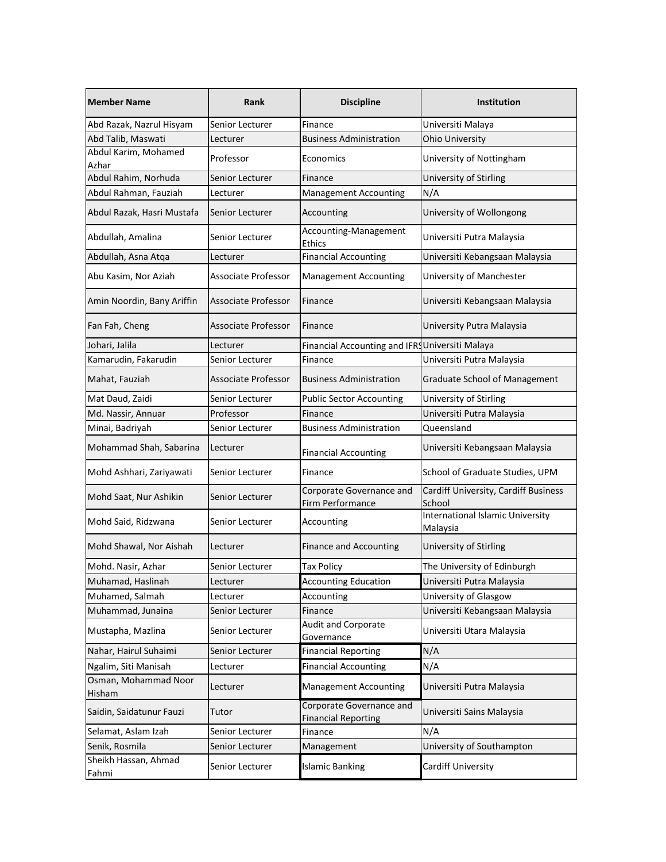| <b>Member Name</b>             | Rank                       |                                                        | <b>Institution</b>                             |
|--------------------------------|----------------------------|--------------------------------------------------------|------------------------------------------------|
| Abd Razak, Nazrul Hisyam       | Senior Lecturer            | Finance                                                | Universiti Malaya                              |
| Abd Talib, Maswati             | Lecturer                   | <b>Business Administration</b>                         | <b>Ohio University</b>                         |
| Abdul Karim, Mohamed<br>Azhar  | Professor                  | Economics                                              | University of Nottingham                       |
| Abdul Rahim, Norhuda           | Senior Lecturer            | Finance                                                | University of Stirling                         |
| Abdul Rahman, Fauziah          | Lecturer                   | Management Accounting                                  | N/A                                            |
| Abdul Razak, Hasri Mustafa     | Senior Lecturer            | Accounting                                             | University of Wollongong                       |
| Abdullah, Amalina              | Senior Lecturer            | Accounting-Management<br>Ethics                        | Universiti Putra Malaysia                      |
| Abdullah, Asna Atqa            | Lecturer                   | <b>Financial Accounting</b>                            | Universiti Kebangsaan Malaysia                 |
| Abu Kasim, Nor Aziah           | Associate Professor        | <b>Management Accounting</b>                           | University of Manchester                       |
| Amin Noordin, Bany Ariffin     | Associate Professor        | Finance                                                | Universiti Kebangsaan Malaysia                 |
| Fan Fah, Cheng                 | Associate Professor        | Finance                                                | University Putra Malaysia                      |
| Johari, Jalila                 | Lecturer                   | Financial Accounting and IFRS Universiti Malaya        |                                                |
| Kamarudin, Fakarudin           | Senior Lecturer            | Finance                                                | Universiti Putra Malaysia                      |
| Mahat, Fauziah                 | <b>Associate Professor</b> | <b>Business Administration</b>                         | <b>Graduate School of Management</b>           |
| Mat Daud, Zaidi                | Senior Lecturer            | <b>Public Sector Accounting</b>                        | University of Stirling                         |
| Md. Nassir, Annuar             | Professor                  | Finance                                                | Universiti Putra Malaysia                      |
| Minai, Badriyah                | Senior Lecturer            | <b>Business Administration</b>                         | Queensland                                     |
| Mohammad Shah, Sabarina        | Lecturer                   | <b>Financial Accounting</b>                            | Universiti Kebangsaan Malaysia                 |
| Mohd Ashhari, Zariyawati       | Senior Lecturer            | Finance                                                | School of Graduate Studies, UPM                |
| Mohd Saat, Nur Ashikin         | Senior Lecturer            | Corporate Governance and<br>Firm Performance           | Cardiff University, Cardiff Business<br>School |
| Mohd Said, Ridzwana            | Senior Lecturer            | Accounting                                             | International Islamic University<br>Malaysia   |
| Mohd Shawal, Nor Aishah        | Lecturer                   | <b>Finance and Accounting</b>                          | University of Stirling                         |
| Mohd. Nasir, Azhar             | Senior Lecturer            | <b>Tax Policy</b>                                      | The University of Edinburgh                    |
| Muhamad, Haslinah              | Lecturer                   | <b>Accounting Education</b>                            | Universiti Putra Malaysia                      |
| Muhamed, Salmah                | Lecturer                   | Accounting                                             | University of Glasgow                          |
| Muhammad, Junaina              | Senior Lecturer            | Finance                                                | Universiti Kebangsaan Malaysia                 |
| Mustapha, Mazlina              | Senior Lecturer            | Audit and Corporate<br>Governance                      | Universiti Utara Malaysia                      |
| Nahar, Hairul Suhaimi          | Senior Lecturer            | <b>Financial Reporting</b>                             | N/A                                            |
| Ngalim, Siti Manisah           | Lecturer                   | <b>Financial Accounting</b>                            | N/A                                            |
| Osman, Mohammad Noor<br>Hisham | Lecturer                   | <b>Management Accounting</b>                           | Universiti Putra Malaysia                      |
| Saidin, Saidatunur Fauzi       | Tutor                      | Corporate Governance and<br><b>Financial Reporting</b> | Universiti Sains Malaysia                      |
| Selamat, Aslam Izah            | Senior Lecturer            | Finance                                                | N/A                                            |
| Senik, Rosmila                 | Senior Lecturer            | Management                                             | University of Southampton                      |
| Sheikh Hassan, Ahmad<br>Fahmi  | Senior Lecturer            | <b>Islamic Banking</b>                                 | Cardiff University                             |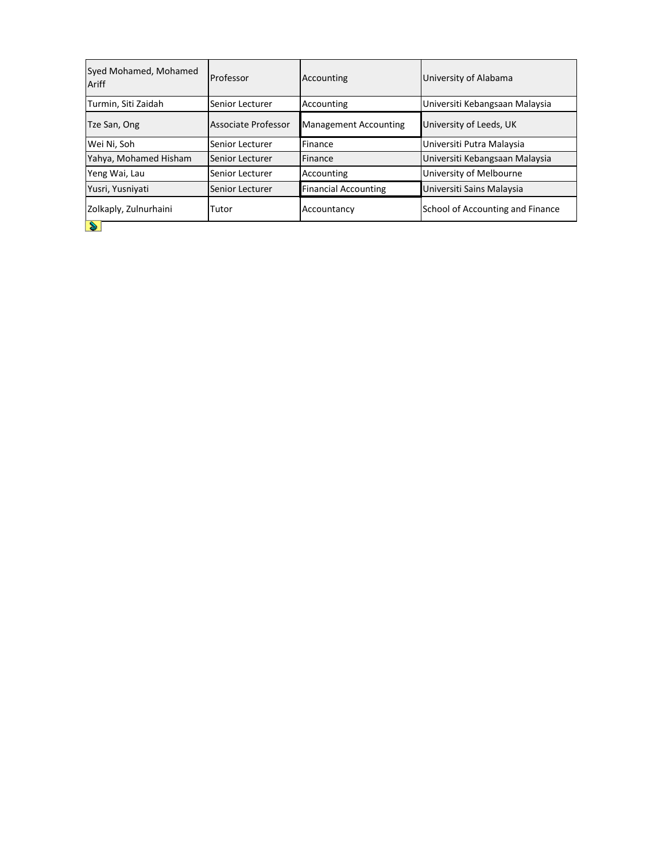| Syed Mohamed, Mohamed<br>Ariff | Professor           | Accounting                   | University of Alabama            |
|--------------------------------|---------------------|------------------------------|----------------------------------|
| Turmin, Siti Zaidah            | Senior Lecturer     | Accounting                   | Universiti Kebangsaan Malaysia   |
| Tze San, Ong                   | Associate Professor | <b>Management Accounting</b> | University of Leeds, UK          |
| Wei Ni, Soh                    | Senior Lecturer     | Finance                      | Universiti Putra Malaysia        |
| Yahya, Mohamed Hisham          | Senior Lecturer     | Finance                      | Universiti Kebangsaan Malaysia   |
| Yeng Wai, Lau                  | Senior Lecturer     | Accounting                   | University of Melbourne          |
| Yusri, Yusniyati               | Senior Lecturer     | <b>Financial Accounting</b>  | Universiti Sains Malaysia        |
| Zolkaply, Zulnurhaini          | Tutor               | Accountancy                  | School of Accounting and Finance |
| D                              |                     |                              |                                  |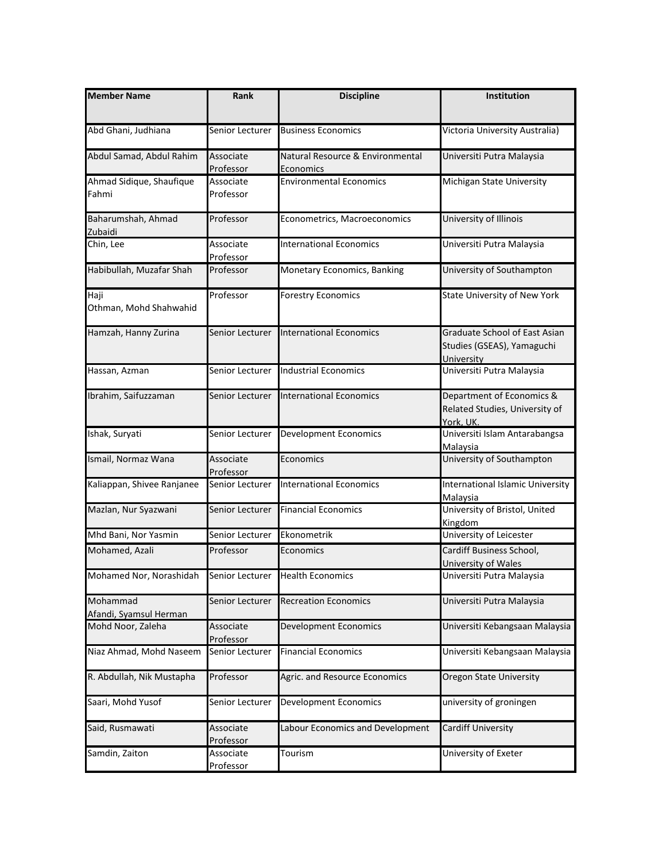| <b>Member Name</b>                 | Rank                   | <b>Discipline</b>                             | Institution                                                                      |
|------------------------------------|------------------------|-----------------------------------------------|----------------------------------------------------------------------------------|
| Abd Ghani, Judhiana                | Senior Lecturer        | <b>Business Economics</b>                     | Victoria University Australia)                                                   |
| Abdul Samad, Abdul Rahim           | Associate<br>Professor | Natural Resource & Environmental<br>Economics | Universiti Putra Malaysia                                                        |
| Ahmad Sidique, Shaufique<br>Fahmi  | Associate<br>Professor | <b>Environmental Economics</b>                | Michigan State University                                                        |
| Baharumshah, Ahmad<br>Zubaidi      | Professor              | Econometrics, Macroeconomics                  | University of Illinois                                                           |
| Chin, Lee                          | Associate<br>Professor | <b>International Economics</b>                | Universiti Putra Malaysia                                                        |
| Habibullah, Muzafar Shah           | Professor              | Monetary Economics, Banking                   | University of Southampton                                                        |
| Haji<br>Othman, Mohd Shahwahid     | Professor              | <b>Forestry Economics</b>                     | State University of New York                                                     |
| Hamzah, Hanny Zurina               | Senior Lecturer        | <b>International Economics</b>                | <b>Graduate School of East Asian</b><br>Studies (GSEAS), Yamaguchi<br>University |
| Hassan, Azman                      | Senior Lecturer        | <b>Industrial Economics</b>                   | Universiti Putra Malaysia                                                        |
| Ibrahim, Saifuzzaman               | Senior Lecturer        | <b>International Economics</b>                | Department of Economics &<br>Related Studies, University of<br>York, UK.         |
| Ishak, Suryati                     | Senior Lecturer        | <b>Development Economics</b>                  | Universiti Islam Antarabangsa<br>Malaysia                                        |
| Ismail, Normaz Wana                | Associate<br>Professor | Economics                                     | University of Southampton                                                        |
| Kaliappan, Shivee Ranjanee         | Senior Lecturer        | <b>International Economics</b>                | International Islamic University<br><b>Malaysia</b>                              |
| Mazlan, Nur Syazwani               | Senior Lecturer        | <b>Financial Economics</b>                    | University of Bristol, United<br>Kingdom                                         |
| Mhd Bani, Nor Yasmin               | Senior Lecturer        | Ekonometrik                                   | University of Leicester                                                          |
| Mohamed, Azali                     | Professor              | Economics                                     | Cardiff Business School,<br>University of Wales                                  |
| Mohamed Nor, Norashidah            | Senior Lecturer        | <b>Health Economics</b>                       | Universiti Putra Malaysia                                                        |
| Mohammad<br>Afandi, Syamsul Herman | Senior Lecturer        | <b>Recreation Economics</b>                   | Universiti Putra Malaysia                                                        |
| Mohd Noor, Zaleha                  | Associate<br>Professor | <b>Development Economics</b>                  | Universiti Kebangsaan Malaysia                                                   |
| Niaz Ahmad, Mohd Naseem            | Senior Lecturer        | <b>Financial Economics</b>                    | Universiti Kebangsaan Malaysia                                                   |
| R. Abdullah, Nik Mustapha          | Professor              | Agric. and Resource Economics                 | <b>Oregon State University</b>                                                   |
| Saari, Mohd Yusof                  | Senior Lecturer        | <b>Development Economics</b>                  | university of groningen                                                          |
| Said, Rusmawati                    | Associate<br>Professor | Labour Economics and Development              | Cardiff University                                                               |
| Samdin, Zaiton                     | Associate<br>Professor | Tourism                                       | University of Exeter                                                             |